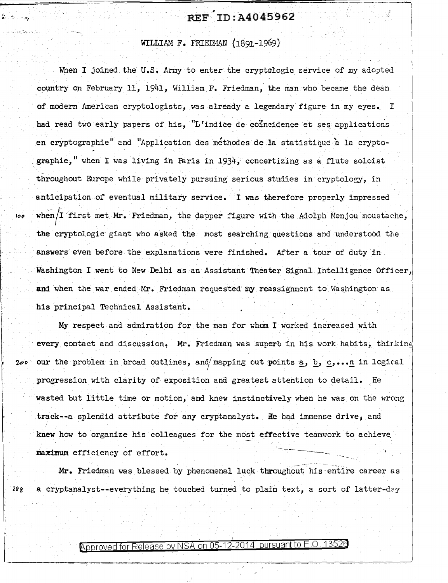## , .. . ' . REF ID:A4045962

WILLIAM F. FRIEDMAN (1891-1969)

When I joined the U.S. Army to enter the cryptologic service of my adopted country on February 11, 1941, William F. Friedman, the man who became the dean of modern American cryptologists, was already a legendary figure in my eyes. I had read two early papers of his, "L'indice de coincidence et ses applications en cryptographie" and "Application des methodes de la statistique 'a la cryptographie," when I was living in Paris in  $1934$ , concertizing as a flute soloist throughout Europe while privately pursuing serious studies in cryptology, in anticipation of eventual military service. I was therefore properly impressed r when/I first met Mr. Friedman, the dapper figure with the Adolph Menjou moustache, I the cryptologic giant who asked the most searching questions and understood the answers even before the explanations were finished. After a tour of duty in. Washington I went to New Delhi as an Assistant Theater Signal Intelligence Officer, and when the war ended Mr. Friedman requested my reassignment to Washington as his principal Technical Assistant.

Į.

 $\cdots$ 

My respect and admiration for the man for whom I worked increased with every contact and discussion. Mr. Friedman was superb in his work habits, thirking our the problem in broad outlines, and/ mapping out points a, b, c,... in logical progression with clarity of exposition and greatest attention to detail. He wasted but little time or motion, and knew instinctively when he was on the wrong track--a splendid attribute for any cryptanalyst. He had immense drive, and knew how to organize his colleagues for the most effective teamwork to achieve

maximum efficiency of effort.<br>Mr. Friedman was blessed by phenomenal luck throughout his entire career as 288 a cryptanalyst--everything he touched turned to plain text, a sort of latter-day

Approved for Release by NSA on 05-12-2014 pursuant to E.O.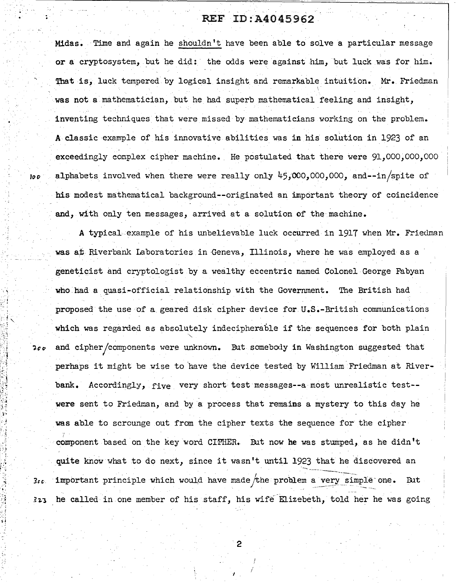Midas. Time and again he shouldn't have been able to solve a particular message or a cryptosystem, but he did: the odds were against him, but luck was for him. That is, luck tempered by logical insight and remarkable intuition. Mr. Friedman was not a mathematician, but he had superb mathematical feeling and insight, inventing techniques that were missed by mathematicians working on the problem. A classic example of his innovative abilities was in his solution in 1923 of an exceedingly complex cipher machine. He postulated that there were 91,000,000,000  $100$  alphabets involved when there were really only  $45,000,000,000$ , and--in/spite of his modest mathematical background--originated an important theory of coincidence and, with only ten messages, arrived at a solution of the machine.

A typical example of his unbelievable luck occurred in 1917 when Mr. Friedman was at Riverbank Laboratories in Geneva, Illinois, where he was employed as a geneticist and cryptologist by a wealthy eccentric named Colonel George Fabyan who had a quasi-official relationship with the Government. The British had proposed the use of a geared disk cipher device for U.S.-British communications which was regarded as absolutely indecipherable if the sequences for both plain  $2\sigma\sigma$  and cipher/components were unknown. But somebody in Washington suggested that perhaps it might be wise to have the device tested by William Friedman at Riverbank. Accordingly, five very short test messages--a most unrealistic test- were sent to Friedman, and by a process that remains a mystery to this day he was able to scrounge out from the cipher texts the sequence for the cipher component based on the key word CIPHER. But now he was stumped, as he didn't quite know what to do next, since it wasn't until 1923 that he discovered an important principle which would have made the problem a very simple one. But  $3ec$ he called in one member of his staff, his wife-Elizebeth, told her he was going  $323$ 

2

.·, ... *·\_:* ~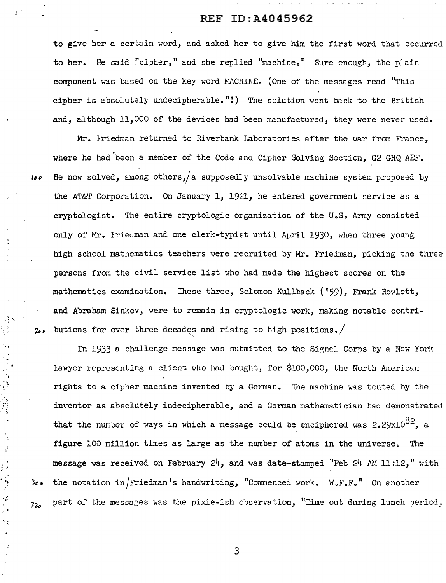to give her a certain word, and asked her to give him the first word that occurred to her. He said "cipher," and she replied "machine." Sure enough, the plain component was based on the key word MACHINE. (One of the messages read "This cipher is absolutely undecipherable."!) The solution went back to the British and, although 11,000 of the devices had been manufactured, they were never used.

Mr. Friedman returned to Riverbank Laboratories after the war from France, where he had been a member of the Code and Cipher Solving Section, G2 GHQ AEF.  $\theta$  He now solved, among others, a supposedly unsolvable machine system proposed by the AT&T Corporation. On January 1, 1921, he entered government service as a cryptologist. The entire cryptologic organization of the U.S. Army consisted only of Mr. Friedman and one clerk-typist until April 1930, when three young high school mathematics teachers were recruited by Mr. Friedman, picking the three persons from the civil service list who had made the highest scores on the mathematics examination. These three, Solomon Kullback ('59), Frank Rowlett, and Abraham Sinkov, were to remain in cryptologic work, making notable contributions for over three decades and rising to high positions.  $200$ 

 $\mathbb{R}^2$ ·.:i

> $\ddot{;\}$ •,

网络 网络体型

' ,.

; -·

 $\tilde{\mathcal{C}}_n$ 

In 1933 a challenge message was submitted to the Signal Corps by a New York lawyer representing a client who had bought, for \$100,000, the North American rights to a cipher machine invented by a German. The machine was touted by the inventor as absolutely indecipherable, and a Gennan mathematician had demonstrated that the number of ways in which a message could be enciphered was  $2.29x10^{82}$ , a figure 100 million times as large as the number of atoms in the universe. The message was received on February 24, and was date-stamped "Feb 24 AM 11:12," with  $\frac{1}{2}$   $\frac{1}{2}$   $\frac{1}{2}$  the notation in *Friedman's* handwriting, "Commenced work. W.F.F." On another  $s_{2z}$  part of the messages was the pixie-ish observation, "Time out during lunch period,

3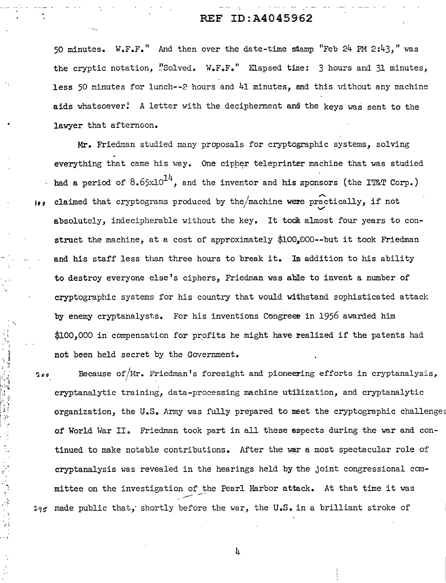50 minutes.  $W \circ F \circ F$ . And then over the date-time stamp "Feb 24 PM 2:43," was the cryptic notation, "Solved. W.F.F." Elapsed tine: 3 hours and 31 minutes, less 50 minutes for lunch--2 hours and  $41$  minutes, and this without any machine aids whatsoever! A letter with the decipherment and the keys was sent to the lawyer that afternoon.

Mr. Friedman studied many proposals for cryptographic systems, solving everything that came his way. One cipher teleprinter machine that was studied had a period of  $8.65x10^{14}$ , and the inventor and his sponsors (the IT&T Corp.)  $\bullet\bullet$  claimed that cryptograms produced by the/machine were practically, if not absolutely, indecipherable without the key. It took almost four years to construct the machine, at a cost of approximately \$100,000--but it took Friedman and his staff less than three hours to break it. In addition to his ability to destroy everyone else's ciphers, Friedman was able to invent a number of cryptographic systems for his country that would withstand sophisticated attack by enemy cryptanalysts. For his inventions Congreer in 1956 awarded him  $$100,000$  in compensation for profits he might have realized if the patents had not been held secret by the Government.

 $\cdot$ ·:,. ',

j . , !  $\cdot$  ;  $\cdot$ 

þ,

 $2.99$  Because of/Mr. Friedman's foresight and pioneering efforts in cryptanalysis, I cryptanalytic training, data-processing machine utilization, and cryptanalytic organization, the U.S. Army was fully prepared to meet the cryptographic challenges of World War II. Friedman took part in all these aspects during the war and continued to make notable contributions. After the war a most spectacular role of cryptanalysis was revealed in the hearings held by the joint congressional committee on the investigation of the Pearl Harbor attack. At that time it was  $\frac{1}{2}$  $245$  made public that, shortly before the war, the U.S. in a brilliant stroke of

4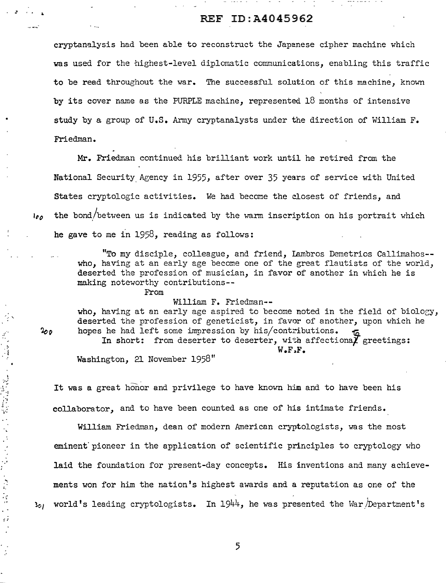ما جان سال ہے ۔ جان سال ہے کہ سالحت

cryptanalysis had been able to reconstruct the Japanese cipher machine which was used for the highest-level diplomatic communications, enabling this traffic to be read throughout the war. The successful solution of this machine, known by its cover name as the PURPLE machine, represented  $18$  months of intensive study by a group of U.S. Army cryptanalysts under the direction of William F. Friedman.

Mr. Friedman continued his brilliant work until he retired from the National Security Agency in 1955, after over 35 years of service with United States cryptologic activities. We had become the closest of friends, and  $I_{\ell\rho}$  the bond/between us is indicated by the warm inscription on his portrait which he gave to me in 1958, reading as follows:

> "To my disciple, colleague, and friend, Iambros Demetrios Callimahos- who, having at an early age become one of the great flautists of the world, deserted the profession of musician, in favor of another in which he is making noteworthy contributions--

> > From

William F. Friedman--

who, having at an early age aspired to become noted in the field of biology, deserted the profession of geneticist, in favor of another, upon which he hopes he had left some impression by his/contributions.

In short: from deserter to deserter, with affectional greetings: W.F.F.

Washington, 21 November 1958"

It was a great honor and privilege to have known him and to have been his collaborator, and to have been counted as one of his intimate friends.

William Friedman, dean of modern American cryptologists, was the most eminent' pioneer in the application of scientific principles to cryptology who laid the foundation for present-day concepts. His inventions and many achievements won for him the nation's highest awards and a reputation as one of the  $l_{0}$  world's leading cryptologists. In 1944, he was presented the War/Department's

 $2\sigma\rho$ 

 $\mathcal{L}_{\mathcal{N}}$ 

~.

ç,